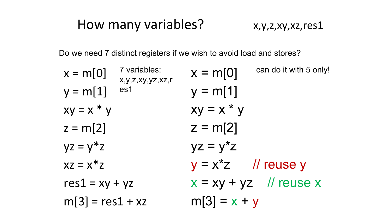### How many variables? x,y,z,xy,xz,res1

Do we need 7 distinct registers if we wish to avoid load and stores?

| 7 variables:<br>$x = m[0]$<br>x,y,z,xy,yz,xz,r | can do it with 5 only!<br>$x = m[0]$ |
|------------------------------------------------|--------------------------------------|
| es1<br>$y = m[1]$                              | $y = m[1]$                           |
| $xy = x * y$                                   | $xy = x * y$                         |
| $z = m[2]$                                     | $z = m[2]$                           |
| $yz = y^*z$                                    | $yz = y^{\star}z$                    |
| $xz = x^*z$                                    | $y = x^2z$ // reuse y                |
| $res1 = xy + yz$                               | $x = xy + yz$ // reuse x             |
| $m[3] = res1 + xz$                             | $m[3] = x + y$                       |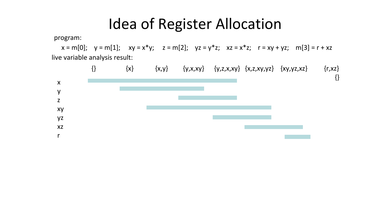### Idea of Register Allocation

program:

 $x = m[0]; y = m[1]; xy = x*y; z = m[2]; yz = y*z; xz = x*z; r = xy + yz; m[3] = r + xz$ live variable analysis result:

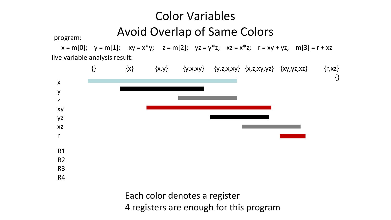#### Color Variables Avoid Overlap of Same Colors

program:

 $x = m[0]; y = m[1]; xy = x*y; z = m[2]; yz = y*z; xz = x*z; r = xy + yz; m[3] = r + xz$ live variable analysis result:



4 registers are enough for this program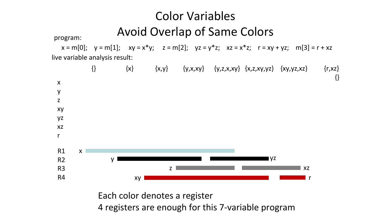#### Color Variables Avoid Overlap of Same Colors

program:

 $x = m[0]; y = m[1]; xy = x*y; z = m[2]; yz = y*z; xz = x*z; r = xy + yz; m[3] = r + xz$ live variable analysis result:



4 registers are enough for this 7-variable program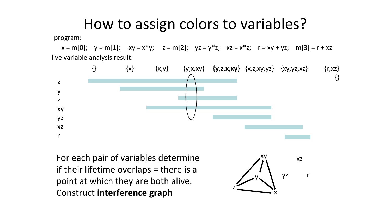### How to assign colors to variables?

program:

 $x = m[0]; y = m[1]; xy = x*y; z = m[2]; yz = y*z; xz = x*z; r = xy + yz; m[3] = r + xz$ live variable analysis result:



For each pair of variables determine if their lifetime overlaps = there is a point at which they are both alive. Construct interference graph

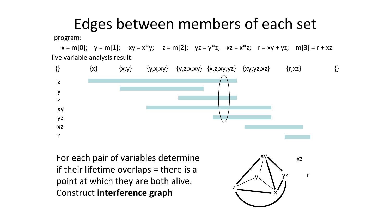# Edges between members of each set

program:

 $x = m[0]; y = m[1]; xy = x*y; z = m[2]; yz = y*z; xz = x*z; r = xy + yz; m[3] = r + xz$ live variable analysis result:



For each pair of variables determine if their lifetime overlaps = there is a point at which they are both alive. Construct interference graph

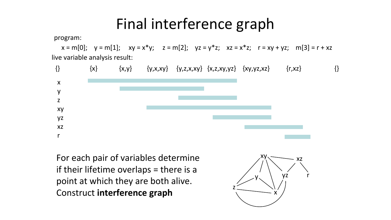### Final interference graph

program:

 $x = m[0]; y = m[1]; xy = x*y; z = m[2]; yz = y*z; xz = x*z; r = xy + yz; m[3] = r + xz$ live variable analysis result:



For each pair of variables determine if their lifetime overlaps = there is a point at which they are both alive. Construct interference graph

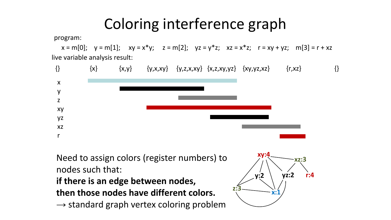# Coloring interference graph

program:

 $x = m[0]; y = m[1]; xy = x*y; z = m[2]; yz = y*z; xz = x*z; r = xy + yz; m[3] = r + xz$ live variable analysis result:



Need to assign colors (register numbers) to nodes such that:

#### if there is an edge between nodes, then those nodes have different colors.

 $\rightarrow$  standard graph vertex coloring problem

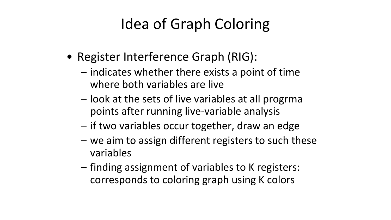# Idea of Graph Coloring

- Register Interference Graph (RIG):
	- indicates whether there exists a point of time where both variables are live
	- look at the sets of live variables at all progrma points after running live-variable analysis
	- if two variables occur together, draw an edge
	- we aim to assign different registers to such these variables
	- finding assignment of variables to K registers: corresponds to coloring graph using K colors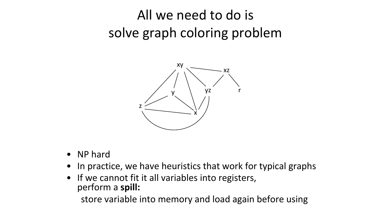# All we need to do is solve graph coloring problem



- NP hard
- In practice, we have heuristics that work for typical graphs
- If we cannot fit it all variables into registers, perform a spill:

store variable into memory and load again before using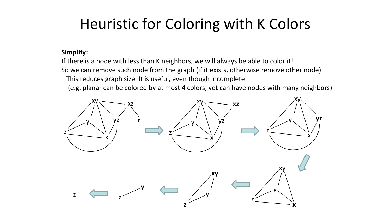# Heuristic for Coloring with K Colors

#### Simplify:

If there is a node with less than K neighbors, we will always be able to color it! So we can remove such node from the graph (if it exists, otherwise remove other node) This reduces graph size. It is useful, even though incomplete

(e.g. planar can be colored by at most 4 colors, yet can have nodes with many neighbors)

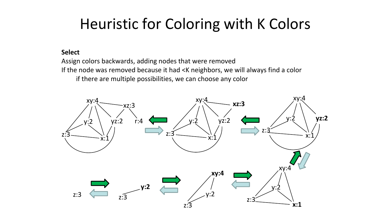# Heuristic for Coloring with K Colors

#### Select

Assign colors backwards, adding nodes that were removed If the node was removed because it had <K neighbors, we will always find a color if there are multiple possibilities, we can choose any color

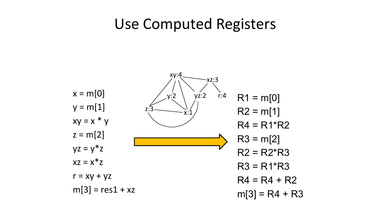#### Use Computed Registers

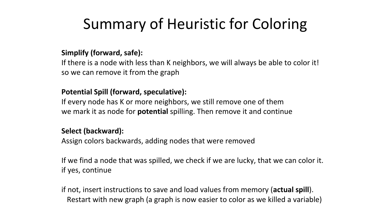# Summary of Heuristic for Coloring

#### Simplify (forward, safe):

If there is a node with less than K neighbors, we will always be able to color it! so we can remove it from the graph

#### Potential Spill (forward, speculative):

If every node has K or more neighbors, we still remove one of them we mark it as node for potential spilling. Then remove it and continue

#### Select (backward):

Assign colors backwards, adding nodes that were removed

If we find a node that was spilled, we check if we are lucky, that we can color it. if yes, continue

if not, insert instructions to save and load values from memory (actual spill). Restart with new graph (a graph is now easier to color as we killed a variable)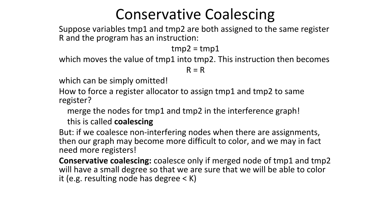# Conservative Coalescing

Suppose variables tmp1 and tmp2 are both assigned to the same register R and the program has an instruction:

 $tmp2 = tmp1$ 

which moves the value of tmp1 into tmp2. This instruction then becomes

 $R = R$ 

which can be simply omitted!

How to force a register allocator to assign tmp1 and tmp2 to same register?

merge the nodes for tmp1 and tmp2 in the interference graph!

this is called coalescing

But: if we coalesce non-interfering nodes when there are assignments, then our graph may become more difficult to color, and we may in fact need more registers!

Conservative coalescing: coalesce only if merged node of tmp1 and tmp2 will have a small degree so that we are sure that we will be able to color it (e.g. resulting node has degree < K)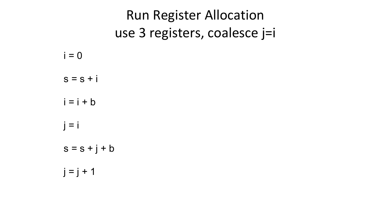|                 | <b>Run Register Allocation</b> |
|-----------------|--------------------------------|
|                 | use 3 registers, coalesce j=i  |
| $i = 0$         |                                |
| $s = s + i$     |                                |
| $i = i + b$     |                                |
| $i = i$         |                                |
| $s = s + j + b$ |                                |
| $  =   + 1$     |                                |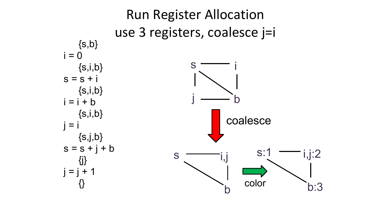